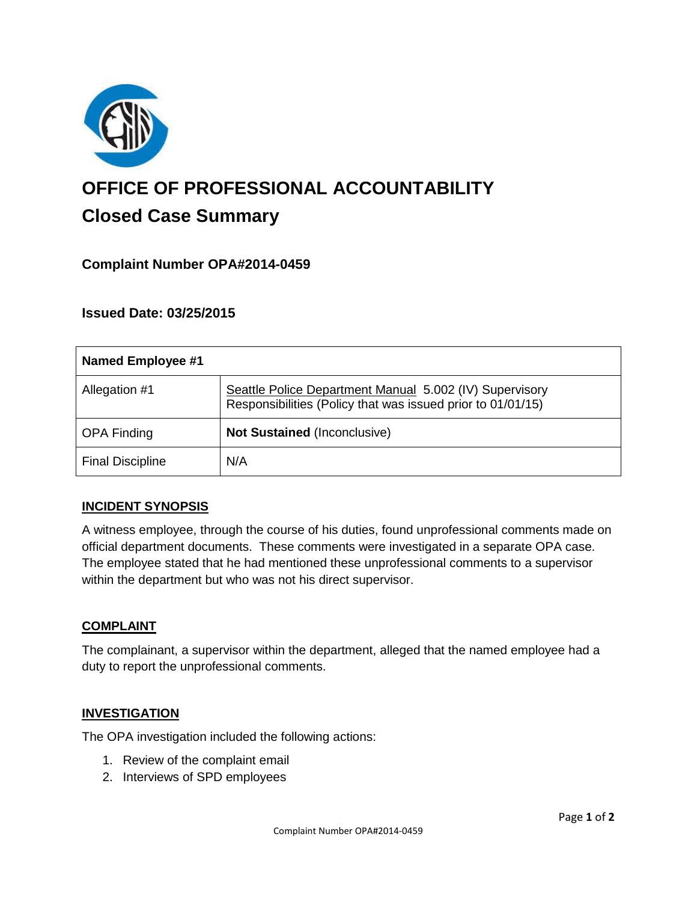

# **OFFICE OF PROFESSIONAL ACCOUNTABILITY Closed Case Summary**

## **Complaint Number OPA#2014-0459**

## **Issued Date: 03/25/2015**

| <b>Named Employee #1</b> |                                                                                                                        |
|--------------------------|------------------------------------------------------------------------------------------------------------------------|
| Allegation #1            | Seattle Police Department Manual 5.002 (IV) Supervisory<br>Responsibilities (Policy that was issued prior to 01/01/15) |
| <b>OPA Finding</b>       | <b>Not Sustained (Inconclusive)</b>                                                                                    |
| <b>Final Discipline</b>  | N/A                                                                                                                    |

#### **INCIDENT SYNOPSIS**

A witness employee, through the course of his duties, found unprofessional comments made on official department documents. These comments were investigated in a separate OPA case. The employee stated that he had mentioned these unprofessional comments to a supervisor within the department but who was not his direct supervisor.

#### **COMPLAINT**

The complainant, a supervisor within the department, alleged that the named employee had a duty to report the unprofessional comments.

#### **INVESTIGATION**

The OPA investigation included the following actions:

- 1. Review of the complaint email
- 2. Interviews of SPD employees